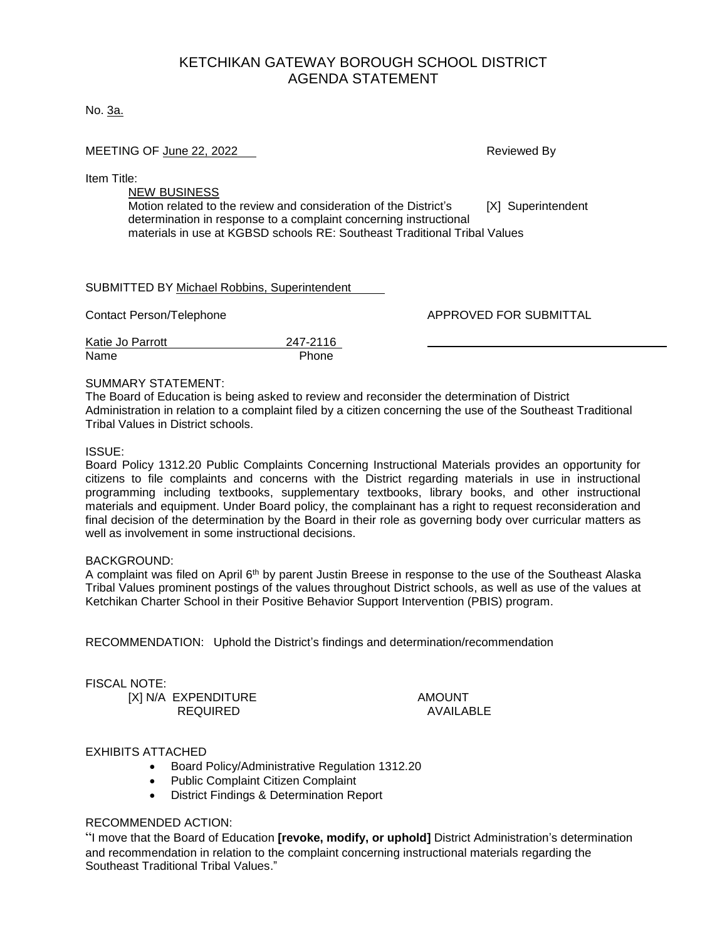# KETCHIKAN GATEWAY BOROUGH SCHOOL DISTRICT AGENDA STATEMENT

No. 3a.

#### MEETING OF June 22, 2022 **Reviewed By All Accords** Reviewed By

Item Title:

NEW BUSINESS Motion related to the review and consideration of the District's [X] Superintendent determination in response to a complaint concerning instructional materials in use at KGBSD schools RE: Southeast Traditional Tribal Values

SUBMITTED BY Michael Robbins, Superintendent

Contact Person/Telephone APPROVED FOR SUBMITTAL

| Katie Jo Parrott | 247-2116 |
|------------------|----------|
| Name             | Phone    |

#### SUMMARY STATEMENT:

The Board of Education is being asked to review and reconsider the determination of District Administration in relation to a complaint filed by a citizen concerning the use of the Southeast Traditional Tribal Values in District schools.

#### ISSUE:

Board Policy 1312.20 Public Complaints Concerning Instructional Materials provides an opportunity for citizens to file complaints and concerns with the District regarding materials in use in instructional programming including textbooks, supplementary textbooks, library books, and other instructional materials and equipment. Under Board policy, the complainant has a right to request reconsideration and final decision of the determination by the Board in their role as governing body over curricular matters as well as involvement in some instructional decisions.

#### BACKGROUND:

A complaint was filed on April 6<sup>th</sup> by parent Justin Breese in response to the use of the Southeast Alaska Tribal Values prominent postings of the values throughout District schools, as well as use of the values at Ketchikan Charter School in their Positive Behavior Support Intervention (PBIS) program.

RECOMMENDATION: Uphold the District's findings and determination/recommendation

#### FISCAL NOTE:

[X] N/A EXPENDITURE AMOUNT<br>REQUIRED AVAILABLE REQUIRED

## EXHIBITS ATTACHED

- Board Policy/Administrative Regulation 1312.20
- Public Complaint Citizen Complaint
- District Findings & Determination Report

## RECOMMENDED ACTION:

"I move that the Board of Education **[revoke, modify, or uphold]** District Administration's determination and recommendation in relation to the complaint concerning instructional materials regarding the Southeast Traditional Tribal Values."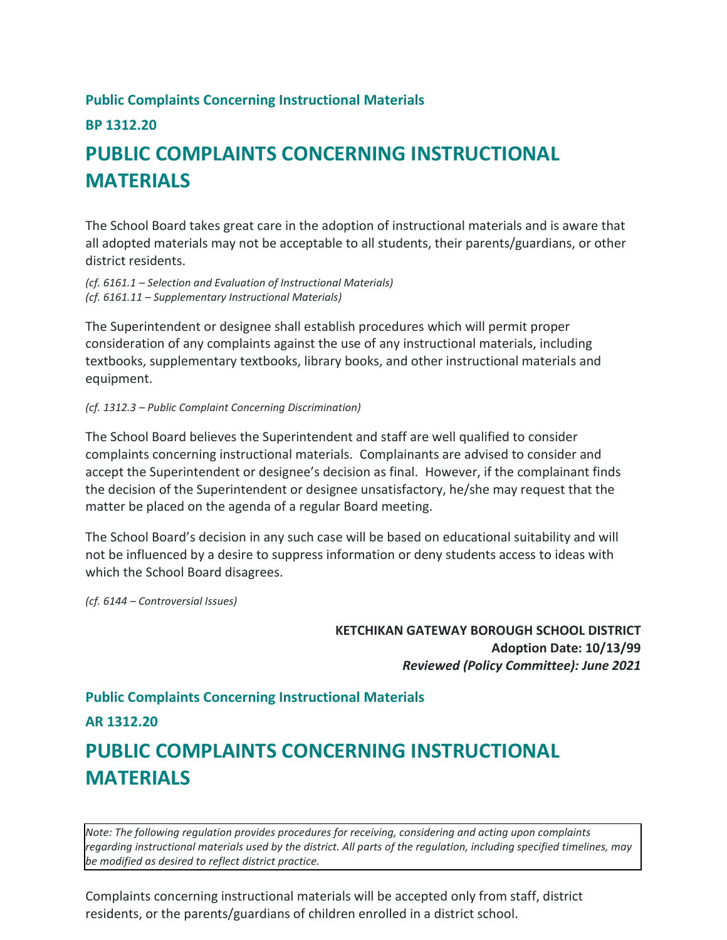# **Public Complaints Concerning Instructional Materials**

# **BP 1312.20**

# **PUBLIC COMPLAINTS CONCERNING INSTRUCTIONAL MATERIALS**

The School Board takes great care in the adoption of instructional materials and is aware that all adopted materials may not be acceptable to all students, their parents/guardians, or other district residents.

*(cf. 6161.1 – Selection and Evaluation of Instructional Materials) (cf. 6161.11 – Supplementary Instructional Materials)*

The Superintendent or designee shall establish procedures which will permit proper consideration of any complaints against the use of any instructional materials, including textbooks, supplementary textbooks, library books, and other instructional materials and equipment.

## *(cf. 1312.3 – Public Complaint Concerning Discrimination)*

The School Board believes the Superintendent and staff are well qualified to consider complaints concerning instructional materials. Complainants are advised to consider and accept the Superintendent or designee's decision as final. However, if the complainant finds the decision of the Superintendent or designee unsatisfactory, he/she may request that the matter be placed on the agenda of a regular Board meeting.

The School Board's decision in any such case will be based on educational suitability and will not be influenced by a desire to suppress information or deny students access to ideas with which the School Board disagrees.

*(cf. 6144 – Controversial Issues)*

**KETCHIKAN GATEWAY BOROUGH SCHOOL DISTRICT Adoption Date: 10/13/99** *Reviewed (Policy Committee): June 2021*

## **Public Complaints Concerning Instructional Materials**

# **AR 1312.20**

# **PUBLIC COMPLAINTS CONCERNING INSTRUCTIONAL MATERIALS**

*Note: The following regulation provides procedures for receiving, considering and acting upon complaints regarding instructional materials used by the district. All parts of the regulation, including specified timelines, may be modified as desired to reflect district practice.*

Complaints concerning instructional materials will be accepted only from staff, district residents, or the parents/guardians of children enrolled in a district school.